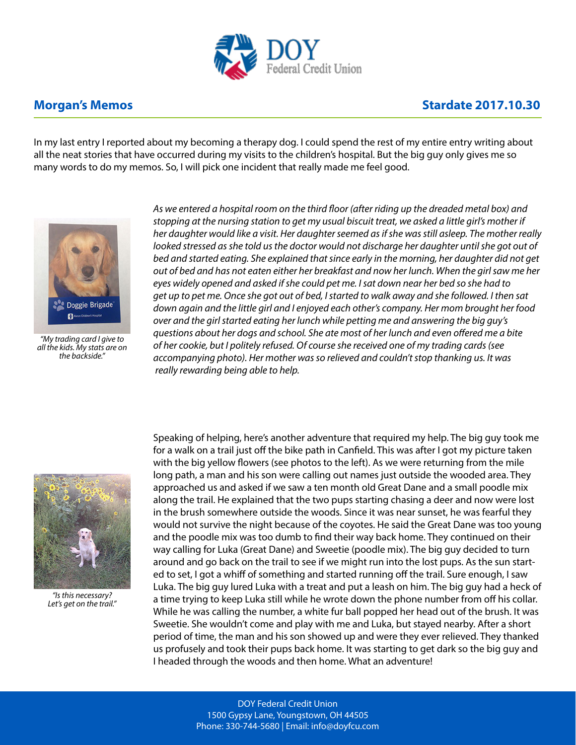

## **Morgan's Memos Monthlying the Contract of Contract Authority Contract Authority Contract Authority Contract Authority Contract Authority Contract Authority Contract Authority Contract Authority Contract Authority Contra**

In my last entry I reported about my becoming a therapy dog. I could spend the rest of my entire entry writing about all the neat stories that have occurred during my visits to the children's hospital. But the big guy only gives me so many words to do my memos. So, I will pick one incident that really made me feel good.



*"My trading card I give to all the kids. My stats are on the backside."*

*As we entered a hospital room on the third floor (after riding up the dreaded metal box) and stopping at the nursing station to get my usual biscuit treat, we asked a little girl's mother if her daughter would like a visit. Her daughter seemed as if she was still asleep. The mother really*  looked stressed as she told us the doctor would not discharge her daughter until she got out of *bed and started eating. She explained that since early in the morning, her daughter did not get out of bed and has not eaten either her breakfast and now her lunch. When the girl saw me her eyes widely opened and asked if she could pet me. I sat down near her bed so she had to get up to pet me. Once she got out of bed, I started to walk away and she followed. I then sat down again and the little girl and I enjoyed each other's company. Her mom brought her food over and the girl started eating her lunch while petting me and answering the big guy's questions about her dogs and school. She ate most of her lunch and even offered me a bite of her cookie, but I politely refused. Of course she received one of my trading cards (see accompanying photo). Her mother was so relieved and couldn't stop thanking us. It was really rewarding being able to help.*



*"Is this necessary? Let's get on the trail."*

Speaking of helping, here's another adventure that required my help. The big guy took me for a walk on a trail just off the bike path in Canfield. This was after I got my picture taken with the big yellow flowers (see photos to the left). As we were returning from the mile long path, a man and his son were calling out names just outside the wooded area. They approached us and asked if we saw a ten month old Great Dane and a small poodle mix along the trail. He explained that the two pups starting chasing a deer and now were lost in the brush somewhere outside the woods. Since it was near sunset, he was fearful they would not survive the night because of the coyotes. He said the Great Dane was too young and the poodle mix was too dumb to find their way back home. They continued on their way calling for Luka (Great Dane) and Sweetie (poodle mix). The big guy decided to turn around and go back on the trail to see if we might run into the lost pups. As the sun started to set, I got a whiff of something and started running off the trail. Sure enough, I saw Luka. The big guy lured Luka with a treat and put a leash on him. The big guy had a heck of a time trying to keep Luka still while he wrote down the phone number from off his collar. While he was calling the number, a white fur ball popped her head out of the brush. It was Sweetie. She wouldn't come and play with me and Luka, but stayed nearby. After a short period of time, the man and his son showed up and were they ever relieved. They thanked us profusely and took their pups back home. It was starting to get dark so the big guy and I headed through the woods and then home. What an adventure!